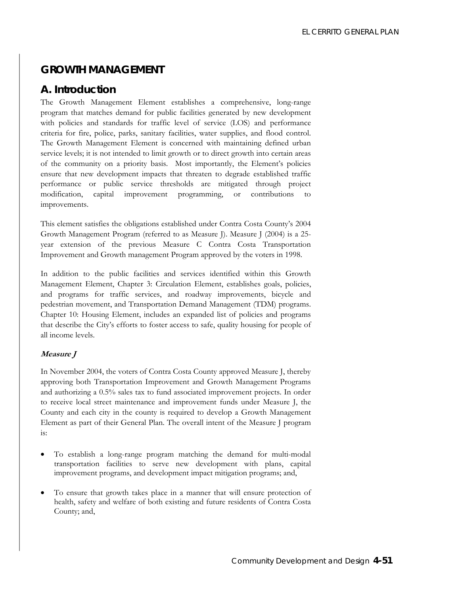# **GROWTH MANAGEMENT**

# **A. Introduction**

The Growth Management Element establishes a comprehensive, long-range program that matches demand for public facilities generated by new development with policies and standards for traffic level of service (LOS) and performance criteria for fire, police, parks, sanitary facilities, water supplies, and flood control. The Growth Management Element is concerned with maintaining defined urban service levels; it is not intended to limit growth or to direct growth into certain areas of the community on a priority basis. Most importantly, the Element's policies ensure that new development impacts that threaten to degrade established traffic performance or public service thresholds are mitigated through project modification, capital improvement programming, or contributions to improvements.

This element satisfies the obligations established under Contra Costa County's 2004 Growth Management Program (referred to as Measure J). Measure J (2004) is a 25 year extension of the previous Measure C Contra Costa Transportation Improvement and Growth management Program approved by the voters in 1998.

In addition to the public facilities and services identified within this Growth Management Element, Chapter 3: Circulation Element, establishes goals, policies, and programs for traffic services, and roadway improvements, bicycle and pedestrian movement, and Transportation Demand Management (TDM) programs. Chapter 10: Housing Element, includes an expanded list of policies and programs that describe the City's efforts to foster access to safe, quality housing for people of all income levels.

### **Measure J**

In November 2004, the voters of Contra Costa County approved Measure J, thereby approving both Transportation Improvement and Growth Management Programs and authorizing a 0.5% sales tax to fund associated improvement projects. In order to receive local street maintenance and improvement funds under Measure J, the County and each city in the county is required to develop a Growth Management Element as part of their General Plan. The overall intent of the Measure J program is:

- To establish a long-range program matching the demand for multi-modal transportation facilities to serve new development with plans, capital improvement programs, and development impact mitigation programs; and,
- To ensure that growth takes place in a manner that will ensure protection of health, safety and welfare of both existing and future residents of Contra Costa County; and,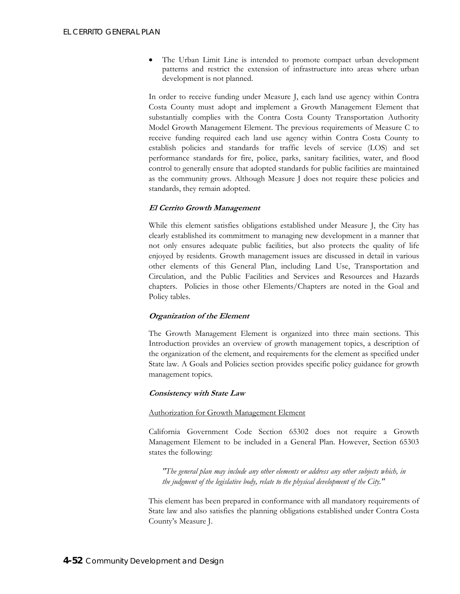• The Urban Limit Line is intended to promote compact urban development patterns and restrict the extension of infrastructure into areas where urban development is not planned.

In order to receive funding under Measure J, each land use agency within Contra Costa County must adopt and implement a Growth Management Element that substantially complies with the Contra Costa County Transportation Authority Model Growth Management Element. The previous requirements of Measure C to receive funding required each land use agency within Contra Costa County to establish policies and standards for traffic levels of service (LOS) and set performance standards for fire, police, parks, sanitary facilities, water, and flood control to generally ensure that adopted standards for public facilities are maintained as the community grows. Although Measure J does not require these policies and standards, they remain adopted.

#### **El Cerrito Growth Management**

While this element satisfies obligations established under Measure J, the City has clearly established its commitment to managing new development in a manner that not only ensures adequate public facilities, but also protects the quality of life enjoyed by residents. Growth management issues are discussed in detail in various other elements of this General Plan, including Land Use, Transportation and Circulation, and the Public Facilities and Services and Resources and Hazards chapters. Policies in those other Elements/Chapters are noted in the Goal and Policy tables.

### **Organization of the Element**

The Growth Management Element is organized into three main sections. This Introduction provides an overview of growth management topics, a description of the organization of the element, and requirements for the element as specified under State law. A Goals and Policies section provides specific policy guidance for growth management topics.

#### **Consistency with State Law**

#### Authorization for Growth Management Element

California Government Code Section 65302 does not require a Growth Management Element to be included in a General Plan. However, Section 65303 states the following:

*"The general plan may include any other elements or address any other subjects which, in the judgment of the legislative body, relate to the physical development of the City."* 

This element has been prepared in conformance with all mandatory requirements of State law and also satisfies the planning obligations established under Contra Costa County's Measure J.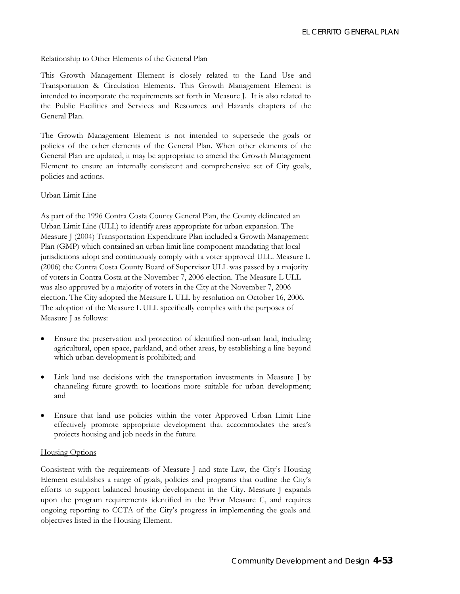#### Relationship to Other Elements of the General Plan

This Growth Management Element is closely related to the Land Use and Transportation & Circulation Elements. This Growth Management Element is intended to incorporate the requirements set forth in Measure J. It is also related to the Public Facilities and Services and Resources and Hazards chapters of the General Plan.

The Growth Management Element is not intended to supersede the goals or policies of the other elements of the General Plan. When other elements of the General Plan are updated, it may be appropriate to amend the Growth Management Element to ensure an internally consistent and comprehensive set of City goals, policies and actions.

#### Urban Limit Line

As part of the 1996 Contra Costa County General Plan, the County delineated an Urban Limit Line (ULL) to identify areas appropriate for urban expansion. The Measure J (2004) Transportation Expenditure Plan included a Growth Management Plan (GMP) which contained an urban limit line component mandating that local jurisdictions adopt and continuously comply with a voter approved ULL. Measure L (2006) the Contra Costa County Board of Supervisor ULL was passed by a majority of voters in Contra Costa at the November 7, 2006 election. The Measure L ULL was also approved by a majority of voters in the City at the November 7, 2006 election. The City adopted the Measure L ULL by resolution on October 16, 2006. The adoption of the Measure L ULL specifically complies with the purposes of Measure J as follows:

- Ensure the preservation and protection of identified non-urban land, including agricultural, open space, parkland, and other areas, by establishing a line beyond which urban development is prohibited; and
- Link land use decisions with the transportation investments in Measure J by channeling future growth to locations more suitable for urban development; and
- Ensure that land use policies within the voter Approved Urban Limit Line effectively promote appropriate development that accommodates the area's projects housing and job needs in the future.

#### **Housing Options**

Consistent with the requirements of Measure J and state Law, the City's Housing Element establishes a range of goals, policies and programs that outline the City's efforts to support balanced housing development in the City. Measure J expands upon the program requirements identified in the Prior Measure C, and requires ongoing reporting to CCTA of the City's progress in implementing the goals and objectives listed in the Housing Element.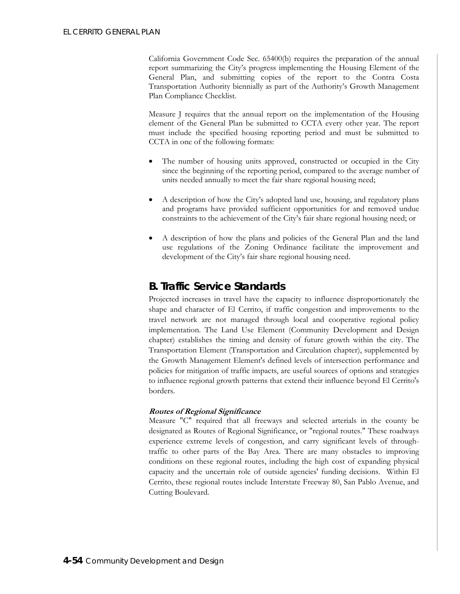California Government Code Sec. 65400(b) requires the preparation of the annual report summarizing the City's progress implementing the Housing Element of the General Plan, and submitting copies of the report to the Contra Costa Transportation Authority biennially as part of the Authority's Growth Management Plan Compliance Checklist.

Measure J requires that the annual report on the implementation of the Housing element of the General Plan be submitted to CCTA every other year. The report must include the specified housing reporting period and must be submitted to CCTA in one of the following formats:

- The number of housing units approved, constructed or occupied in the City since the beginning of the reporting period, compared to the average number of units needed annually to meet the fair share regional housing need;
- A description of how the City's adopted land use, housing, and regulatory plans and programs have provided sufficient opportunities for and removed undue constraints to the achievement of the City's fair share regional housing need; or
- A description of how the plans and policies of the General Plan and the land use regulations of the Zoning Ordinance facilitate the improvement and development of the City's fair share regional housing need.

# **B. Traffic Service Standards**

Projected increases in travel have the capacity to influence disproportionately the shape and character of El Cerrito, if traffic congestion and improvements to the travel network are not managed through local and cooperative regional policy implementation. The Land Use Element (Community Development and Design chapter) establishes the timing and density of future growth within the city. The Transportation Element (Transportation and Circulation chapter), supplemented by the Growth Management Element's defined levels of intersection performance and policies for mitigation of traffic impacts, are useful sources of options and strategies to influence regional growth patterns that extend their influence beyond El Cerrito's borders.

### **Routes of Regional Significance**

Measure "C" required that all freeways and selected arterials in the county be designated as Routes of Regional Significance, or "regional routes." These roadways experience extreme levels of congestion, and carry significant levels of throughtraffic to other parts of the Bay Area. There are many obstacles to improving conditions on these regional routes, including the high cost of expanding physical capacity and the uncertain role of outside agencies' funding decisions. Within El Cerrito, these regional routes include Interstate Freeway 80, San Pablo Avenue, and Cutting Boulevard.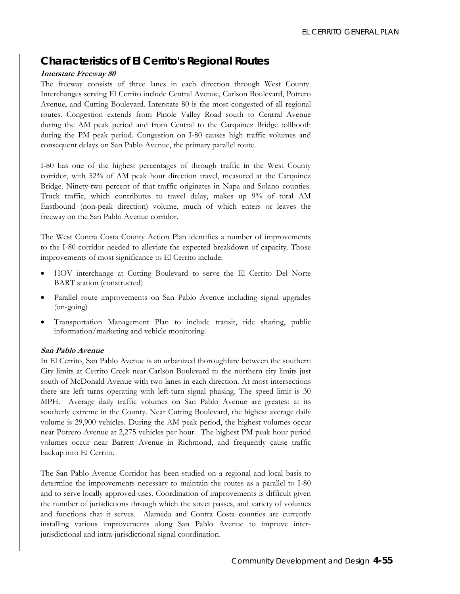# *Characteristics of El Cerrito's Regional Routes*

#### **Interstate Freeway 80**

The freeway consists of three lanes in each direction through West County. Interchanges serving El Cerrito include Central Avenue, Carlson Boulevard, Potrero Avenue, and Cutting Boulevard. Interstate 80 is the most congested of all regional routes. Congestion extends from Pinole Valley Road south to Central Avenue during the AM peak period and from Central to the Carquinez Bridge tollbooth during the PM peak period. Congestion on I-80 causes high traffic volumes and consequent delays on San Pablo Avenue, the primary parallel route.

I-80 has one of the highest percentages of through traffic in the West County corridor, with 52% of AM peak hour direction travel, measured at the Carquinez Bridge. Ninety-two percent of that traffic originates in Napa and Solano counties. Truck traffic, which contributes to travel delay, makes up 9% of total AM Eastbound (non-peak direction) volume, much of which enters or leaves the freeway on the San Pablo Avenue corridor.

The West Contra Costa County Action Plan identifies a number of improvements to the I-80 corridor needed to alleviate the expected breakdown of capacity. Those improvements of most significance to El Cerrito include:

- HOV interchange at Cutting Boulevard to serve the El Cerrito Del Norte BART station (constructed)
- Parallel route improvements on San Pablo Avenue including signal upgrades (on-going)
- Transportation Management Plan to include transit, ride sharing, public information/marketing and vehicle monitoring.

#### **San Pablo Avenue**

In El Cerrito, San Pablo Avenue is an urbanized thoroughfare between the southern City limits at Cerrito Creek near Carlson Boulevard to the northern city limits just south of McDonald Avenue with two lanes in each direction. At most intersections there are left turns operating with left-turn signal phasing. The speed limit is 30 MPH. Average daily traffic volumes on San Pablo Avenue are greatest at its southerly extreme in the County. Near Cutting Boulevard, the highest average daily volume is 29,900 vehicles. During the AM peak period, the highest volumes occur near Potrero Avenue at 2,275 vehicles per hour. The highest PM peak hour period volumes occur near Barrett Avenue in Richmond, and frequently cause traffic backup into El Cerrito.

The San Pablo Avenue Corridor has been studied on a regional and local basis to determine the improvements necessary to maintain the routes as a parallel to I-80 and to serve locally approved uses. Coordination of improvements is difficult given the number of jurisdictions through which the street passes, and variety of volumes and functions that it serves. Alameda and Contra Costa counties are currently installing various improvements along San Pablo Avenue to improve interjurisdictional and intra-jurisdictional signal coordination.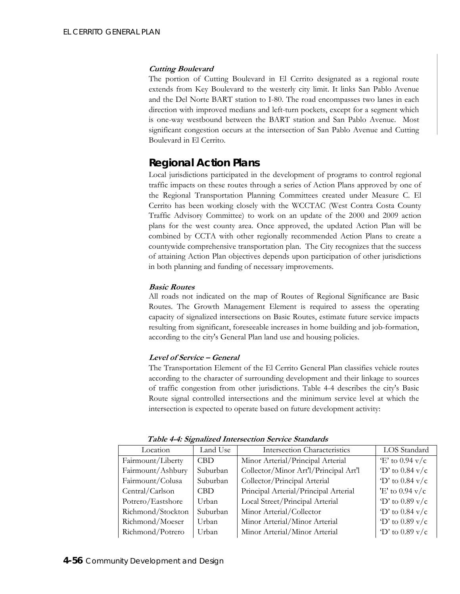#### **Cutting Boulevard**

The portion of Cutting Boulevard in El Cerrito designated as a regional route extends from Key Boulevard to the westerly city limit. It links San Pablo Avenue and the Del Norte BART station to I-80. The road encompasses two lanes in each direction with improved medians and left-turn pockets, except for a segment which is one-way westbound between the BART station and San Pablo Avenue. Most significant congestion occurs at the intersection of San Pablo Avenue and Cutting Boulevard in El Cerrito.

# *Regional Action Plans*

Local jurisdictions participated in the development of programs to control regional traffic impacts on these routes through a series of Action Plans approved by one of the Regional Transportation Planning Committees created under Measure C. El Cerrito has been working closely with the WCCTAC (West Contra Costa County Traffic Advisory Committee) to work on an update of the 2000 and 2009 action plans for the west county area. Once approved, the updated Action Plan will be combined by CCTA with other regionally recommended Action Plans to create a countywide comprehensive transportation plan. The City recognizes that the success of attaining Action Plan objectives depends upon participation of other jurisdictions in both planning and funding of necessary improvements.

### **Basic Routes**

All roads not indicated on the map of Routes of Regional Significance are Basic Routes. The Growth Management Element is required to assess the operating capacity of signalized intersections on Basic Routes, estimate future service impacts resulting from significant, foreseeable increases in home building and job-formation, according to the city's General Plan land use and housing policies.

### **Level of Service – General**

The Transportation Element of the El Cerrito General Plan classifies vehicle routes according to the character of surrounding development and their linkage to sources of traffic congestion from other jurisdictions. Table 4-4 describes the city's Basic Route signal controlled intersections and the minimum service level at which the intersection is expected to operate based on future development activity:

| Location          | Land Use | <b>Intersection Characteristics</b>   | LOS Standard              |
|-------------------|----------|---------------------------------------|---------------------------|
| Fairmount/Liberty | CBD.     | Minor Arterial/Principal Arterial     | $E'$ to 0.94 v/c          |
| Fairmount/Ashbury | Suburban | Collector/Minor Art'l/Principal Art'l | $\gamma$ to 0.84 v/c      |
| Fairmount/Colusa  | Suburban | Collector/Principal Arterial          | $\gamma$ to 0.84 v/c      |
| Central/Carlson   | CBD.     | Principal Arterial/Principal Arterial | 'E' to $0.94$ v/c         |
| Potrero/Eastshore | Urban    | Local Street/Principal Arterial       | $\gamma$ to 0.89 v/c      |
| Richmond/Stockton | Suburban | Minor Arterial/Collector              | $\gamma$ to 0.84 v/c      |
| Richmond/Moeser   | Urban    | Minor Arterial/Minor Arterial         | 'D' to $0.89 \text{ v/c}$ |
| Richmond/Potrero  | Urban    | Minor Arterial/Minor Arterial         | $D'$ to 0.89 v/c          |
|                   |          |                                       |                           |

**Table 4-4: Signalized Intersection Service Standards**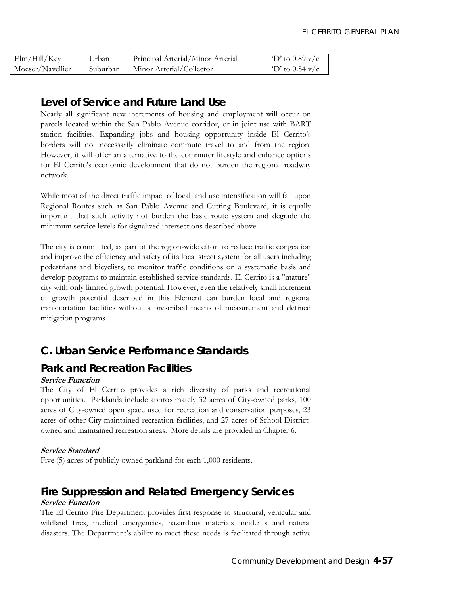| Elm/Hill/Key     | Urban    | Principal Arterial/Minor Arterial | $\Gamma$ to 0.89 v/c |
|------------------|----------|-----------------------------------|----------------------|
| Moeser/Navellier | Suburban | Minor Arterial/Collector          | $\Gamma$ to 0.84 v/c |

# *Level of Service and Future Land Use*

Nearly all significant new increments of housing and employment will occur on parcels located within the San Pablo Avenue corridor, or in joint use with BART station facilities. Expanding jobs and housing opportunity inside El Cerrito's borders will not necessarily eliminate commute travel to and from the region. However, it will offer an alternative to the commuter lifestyle and enhance options for El Cerrito's economic development that do not burden the regional roadway network.

While most of the direct traffic impact of local land use intensification will fall upon Regional Routes such as San Pablo Avenue and Cutting Boulevard, it is equally important that such activity not burden the basic route system and degrade the minimum service levels for signalized intersections described above.

The city is committed, as part of the region-wide effort to reduce traffic congestion and improve the efficiency and safety of its local street system for all users including pedestrians and bicyclists, to monitor traffic conditions on a systematic basis and develop programs to maintain established service standards. El Cerrito is a "mature" city with only limited growth potential. However, even the relatively small increment of growth potential described in this Element can burden local and regional transportation facilities without a prescribed means of measurement and defined mitigation programs.

# **C. Urban Service Performance Standards**

# *Park and Recreation Facilities*

### **Service Function**

The City of El Cerrito provides a rich diversity of parks and recreational opportunities. Parklands include approximately 32 acres of City-owned parks, 100 acres of City-owned open space used for recreation and conservation purposes, 23 acres of other City-maintained recreation facilities, and 27 acres of School Districtowned and maintained recreation areas. More details are provided in Chapter 6.

### **Service Standard**

Five (5) acres of publicly owned parkland for each 1,000 residents.

# *Fire Suppression and Related Emergency Services*  **Service Function**

The El Cerrito Fire Department provides first response to structural, vehicular and wildland fires, medical emergencies, hazardous materials incidents and natural disasters. The Department's ability to meet these needs is facilitated through active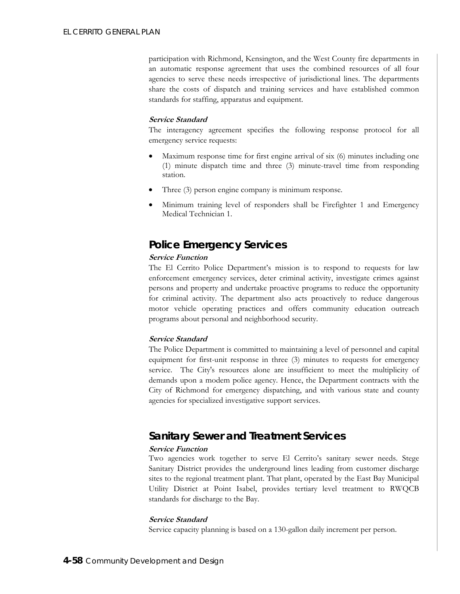participation with Richmond, Kensington, and the West County fire departments in an automatic response agreement that uses the combined resources of all four agencies to serve these needs irrespective of jurisdictional lines. The departments share the costs of dispatch and training services and have established common standards for staffing, apparatus and equipment.

#### **Service Standard**

The interagency agreement specifies the following response protocol for all emergency service requests:

- Maximum response time for first engine arrival of six (6) minutes including one (1) minute dispatch time and three (3) minute-travel time from responding station.
- Three (3) person engine company is minimum response.
- Minimum training level of responders shall be Firefighter 1 and Emergency Medical Technician 1.

# *Police Emergency Services*

### **Service Function**

The El Cerrito Police Department's mission is to respond to requests for law enforcement emergency services, deter criminal activity, investigate crimes against persons and property and undertake proactive programs to reduce the opportunity for criminal activity. The department also acts proactively to reduce dangerous motor vehicle operating practices and offers community education outreach programs about personal and neighborhood security.

### **Service Standard**

The Police Department is committed to maintaining a level of personnel and capital equipment for first-unit response in three (3) minutes to requests for emergency service. The City's resources alone are insufficient to meet the multiplicity of demands upon a modem police agency. Hence, the Department contracts with the City of Richmond for emergency dispatching, and with various state and county agencies for specialized investigative support services.

# *Sanitary Sewer and Treatment Services*

### **Service Function**

Two agencies work together to serve El Cerrito's sanitary sewer needs. Stege Sanitary District provides the underground lines leading from customer discharge sites to the regional treatment plant. That plant, operated by the East Bay Municipal Utility District at Point Isabel, provides tertiary level treatment to RWQCB standards for discharge to the Bay.

### **Service Standard**

Service capacity planning is based on a 130-gallon daily increment per person.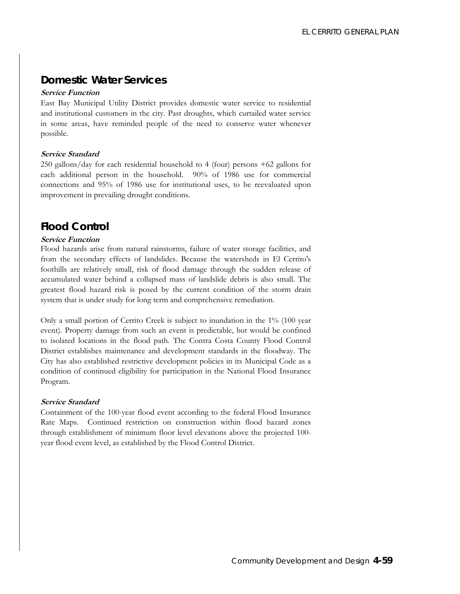# *Domestic Water Services*

#### **Service Function**

East Bay Municipal Utility District provides domestic water service to residential and institutional customers in the city. Past droughts, which curtailed water service in some areas, have reminded people of the need to conserve water whenever possible.

#### **Service Standard**

250 gallons/day for each residential household to 4 (four) persons +62 gallons for each additional person in the household. 90% of 1986 use for commercial connections and 95% of 1986 use for institutional uses, to be reevaluated upon improvement in prevailing drought conditions.

## *Flood Control*

### **Service Function**

Flood hazards arise from natural rainstorms, failure of water storage facilities, and from the secondary effects of landslides. Because the watersheds in El Cerrito's foothills are relatively small, risk of flood damage through the sudden release of accumulated water behind a collapsed mass of landslide debris is also small. The greatest flood hazard risk is posed by the current condition of the storm drain system that is under study for long term and comprehensive remediation.

Only a small portion of Cerrito Creek is subject to inundation in the 1% (100 year event). Property damage from such an event is predictable, but would be confined to isolated locations in the flood path. The Contra Costa County Flood Control District establishes maintenance and development standards in the floodway. The City has also established restrictive development policies in its Municipal Code as a condition of continued eligibility for participation in the National Flood Insurance Program.

#### **Service Standard**

Containment of the 100-year flood event according to the federal Flood Insurance Rate Maps. Continued restriction on construction within flood hazard zones through establishment of minimum floor level elevations above the projected 100 year flood event level, as established by the Flood Control District.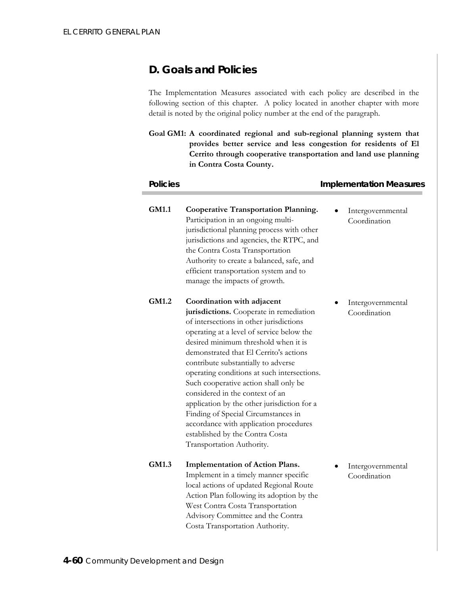# **D. Goals and Policies**

The Implementation Measures associated with each policy are described in the following section of this chapter. A policy located in another chapter with more detail is noted by the original policy number at the end of the paragraph.

**Goal GM1: A coordinated regional and sub-regional planning system that provides better service and less congestion for residents of El Cerrito through cooperative transportation and land use planning in Contra Costa County.** 

| <b>Policies</b> |                                                                                                                                                                                                                                                                                                                                                                                                                                                                                                                                                                                                                   | <b>Implementation Measures</b>    |  |  |
|-----------------|-------------------------------------------------------------------------------------------------------------------------------------------------------------------------------------------------------------------------------------------------------------------------------------------------------------------------------------------------------------------------------------------------------------------------------------------------------------------------------------------------------------------------------------------------------------------------------------------------------------------|-----------------------------------|--|--|
| <b>GM1.1</b>    | <b>Cooperative Transportation Planning.</b><br>Participation in an ongoing multi-<br>jurisdictional planning process with other<br>jurisdictions and agencies, the RTPC, and<br>the Contra Costa Transportation<br>Authority to create a balanced, safe, and<br>efficient transportation system and to<br>manage the impacts of growth.                                                                                                                                                                                                                                                                           | Intergovernmental<br>Coordination |  |  |
| GM1.2           | Coordination with adjacent<br>jurisdictions. Cooperate in remediation<br>of intersections in other jurisdictions<br>operating at a level of service below the<br>desired minimum threshold when it is<br>demonstrated that El Cerrito's actions<br>contribute substantially to adverse<br>operating conditions at such intersections.<br>Such cooperative action shall only be<br>considered in the context of an<br>application by the other jurisdiction for a<br>Finding of Special Circumstances in<br>accordance with application procedures<br>established by the Contra Costa<br>Transportation Authority. | Intergovernmental<br>Coordination |  |  |
| GM1.3           | <b>Implementation of Action Plans.</b><br>Implement in a timely manner specific<br>local actions of updated Regional Route<br>Action Plan following its adoption by the<br>West Contra Costa Transportation<br>Advisory Committee and the Contra<br>Costa Transportation Authority.                                                                                                                                                                                                                                                                                                                               | Intergovernmental<br>Coordination |  |  |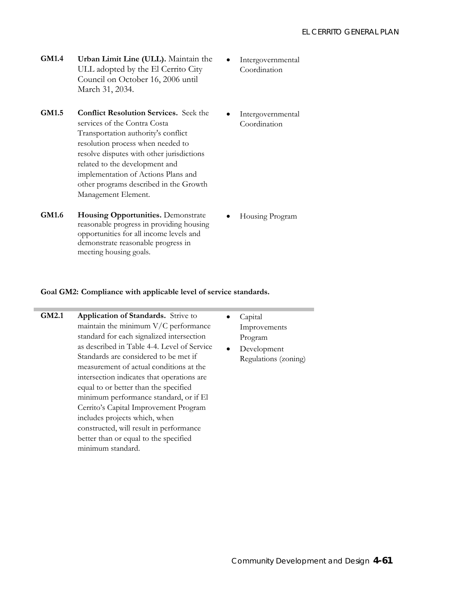- **GM1.4 Urban Limit Line (ULL).** Maintain the ULL adopted by the El Cerrito City Council on October 16, 2006 until March 31, 2034.
- **GM1.5 Conflict Resolution Services.** Seek the services of the Contra Costa Transportation authority's conflict resolution process when needed to resolve disputes with other jurisdictions related to the development and implementation of Actions Plans and other programs described in the Growth Management Element.
- **Intergovernmental** Coordination
- **Intergovernmental** Coordination

**GM1.6 Housing Opportunities.** Demonstrate reasonable progress in providing housing opportunities for all income levels and demonstrate reasonable progress in meeting housing goals.

• Housing Program

#### **Goal GM2: Compliance with applicable level of service standards.**

- **GM2.1 Application of Standards.** Strive to maintain the minimum V/C performance standard for each signalized intersection as described in Table 4-4. Level of Service Standards are considered to be met if measurement of actual conditions at the intersection indicates that operations are equal to or better than the specified minimum performance standard, or if El Cerrito's Capital Improvement Program includes projects which, when constructed, will result in performance better than or equal to the specified minimum standard.
	- Capital Improvements Program
	- Development Regulations (zoning)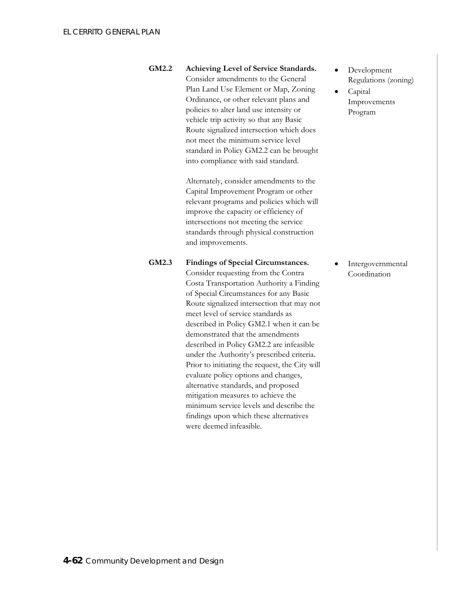**GM2.2 Achieving Level of Service Standards.**  Consider amendments to the General Plan Land Use Element or Map, Zoning Ordinance, or other relevant plans and policies to alter land use intensity or vehicle trip activity so that any Basic Route signalized intersection which does not meet the minimum service level standard in Policy GM2.2 can be brought into compliance with said standard.

> Alternately, consider amendments to the Capital Improvement Program or other relevant programs and policies which will improve the capacity or efficiency of intersections not meeting the service standards through physical construction and improvements.

- **GM2.3 Findings of Special Circumstances.**  Consider requesting from the Contra Costa Transportation Authority a Finding of Special Circumstances for any Basic Route signalized intersection that may not meet level of service standards as described in Policy GM2.1 when it can be demonstrated that the amendments described in Policy GM2.2 are infeasible under the Authority's prescribed criteria. Prior to initiating the request, the City will evaluate policy options and changes,
	- alternative standards, and proposed mitigation measures to achieve the minimum service levels and describe the findings upon which these alternatives were deemed infeasible.
- Development Regulations (zoning)
- Capital Improvements Program

**Intergovernmental** Coordination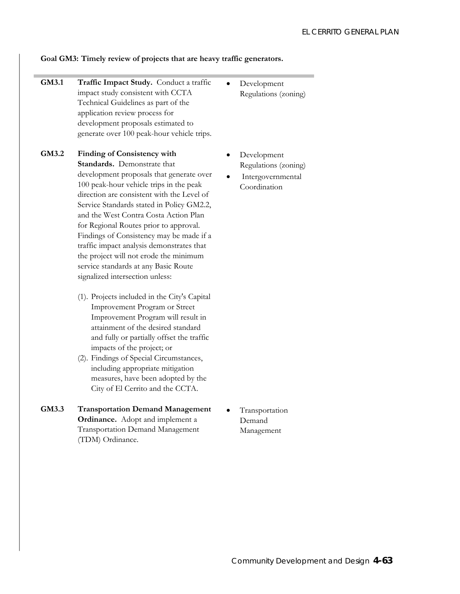#### **Goal GM3: Timely review of projects that are heavy traffic generators.**

- **GM3.1 Traffic Impact Study.** Conduct a traffic impact study consistent with CCTA Technical Guidelines as part of the application review process for development proposals estimated to generate over 100 peak-hour vehicle trips.
- **GM3.2 Finding of Consistency with Standards.** Demonstrate that development proposals that generate over 100 peak-hour vehicle trips in the peak direction are consistent with the Level of Service Standards stated in Policy GM2.2, and the West Contra Costa Action Plan for Regional Routes prior to approval. Findings of Consistency may be made if a traffic impact analysis demonstrates that the project will not erode the minimum service standards at any Basic Route signalized intersection unless:
	- (1). Projects included in the City's Capital Improvement Program or Street Improvement Program will result in attainment of the desired standard and fully or partially offset the traffic impacts of the project; or
	- (2). Findings of Special Circumstances, including appropriate mitigation measures, have been adopted by the City of El Cerrito and the CCTA.
- **GM3.3 Transportation Demand Management Ordinance.** Adopt and implement a Transportation Demand Management (TDM) Ordinance.
- Development Regulations (zoning)
- Development Regulations (zoning)
- **Intergovernmental** Coordination

• Transportation Demand Management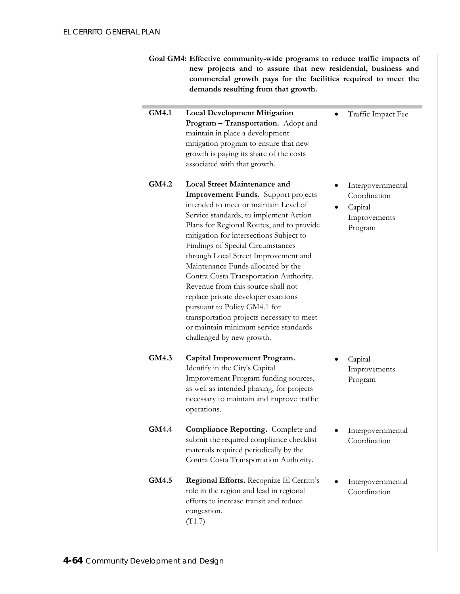| Goal GM4: Effective community-wide programs to reduce traffic impacts of |
|--------------------------------------------------------------------------|
| new projects and to assure that new residential, business and            |
| commercial growth pays for the facilities required to meet the           |
| demands resulting from that growth.                                      |

| GM4.1 | <b>Local Development Mitigation</b>        |  |  |
|-------|--------------------------------------------|--|--|
|       | <b>Program – Transportation.</b> Adopt and |  |  |
|       | maintain in place a development            |  |  |
|       | mitigation program to ensure that new      |  |  |
|       | growth is paying its share of the costs    |  |  |
|       | associated with that growth.               |  |  |

- **GM4.2 Local Street Maintenance and Improvement Funds.** Support projects intended to meet or maintain Level of Service standards, to implement Action Plans for Regional Routes, and to provide mitigation for intersections Subject to Findings of Special Circumstances through Local Street Improvement and Maintenance Funds allocated by the Contra Costa Transportation Authority. Revenue from this source shall not replace private developer exactions pursuant to Policy GM4.1 for transportation projects necessary to meet or maintain minimum service standards challenged by new growth.
- **GM4.3 Capital Improvement Program.**  Identify in the City's Capital Improvement Program funding sources, as well as intended phasing, for projects necessary to maintain and improve traffic operations.
- **GM4.4 Compliance Reporting.** Complete and submit the required compliance checklist materials required periodically by the Contra Costa Transportation Authority.
- **GM4.5 Regional Efforts.** Recognize El Cerrito's role in the region and lead in regional efforts to increase transit and reduce congestion. (T1.7)

**Intergovernmental** Coordination

• Traffic Impact Fee

• Capital Improvements Program

- Capital Improvements Program
- **Intergovernmental** Coordination
- **Intergovernmental** Coordination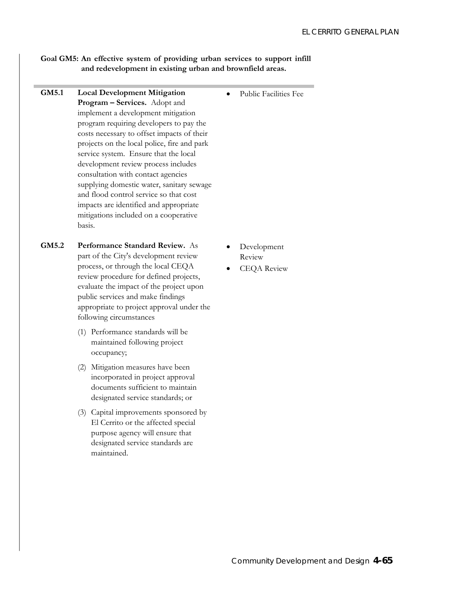### **Goal GM5: An effective system of providing urban services to support infill and redevelopment in existing urban and brownfield areas.**

**GM5.1 Local Development Mitigation Program – Services.** Adopt and implement a development mitigation program requiring developers to pay the costs necessary to offset impacts of their projects on the local police, fire and park service system. Ensure that the local development review process includes consultation with contact agencies supplying domestic water, sanitary sewage and flood control service so that cost impacts are identified and appropriate mitigations included on a cooperative basis. Public Facilities Fee **GM5.2 Performance Standard Review.** As part of the City's development review process, or through the local CEQA review procedure for defined projects, evaluate the impact of the project upon public services and make findings appropriate to project approval under the following circumstances (1) Performance standards will be maintained following project occupancy; (2) Mitigation measures have been incorporated in project approval documents sufficient to maintain designated service standards; or (3) Capital improvements sponsored by El Cerrito or the affected special purpose agency will ensure that designated service standards are maintained. • Development Review • CEQA Review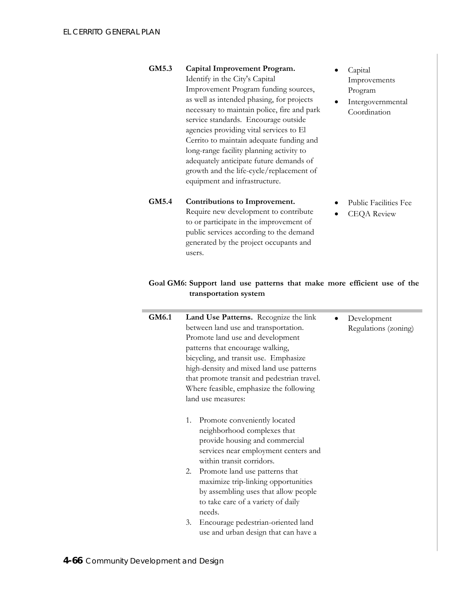- **GM5.3 Capital Improvement Program.**  Identify in the City's Capital Improvement Program funding sources, as well as intended phasing, for projects necessary to maintain police, fire and park service standards. Encourage outside agencies providing vital services to El Cerrito to maintain adequate funding and long-range facility planning activity to adequately anticipate future demands of growth and the life-cycle/replacement of equipment and infrastructure.
- Capital Improvements Program
- **Intergovernmental** Coordination

- **GM5.4 Contributions to Improvement.**  Require new development to contribute to or participate in the improvement of public services according to the demand generated by the project occupants and users.
- Public Facilities Fee
- CEQA Review

### **Goal GM6: Support land use patterns that make more efficient use of the transportation system**

| GM6.1 | Land Use Patterns. Recognize the link<br>between land use and transportation.<br>Promote land use and development<br>patterns that encourage walking,<br>bicycling, and transit use. Emphasize<br>high-density and mixed land use patterns<br>that promote transit and pedestrian travel.<br>Where feasible, emphasize the following<br>land use measures: | Development<br>Regulations (zoning) |
|-------|------------------------------------------------------------------------------------------------------------------------------------------------------------------------------------------------------------------------------------------------------------------------------------------------------------------------------------------------------------|-------------------------------------|
|       | Promote conveniently located<br>1.<br>neighborhood complexes that<br>provide housing and commercial<br>services near employment centers and<br>within transit corridors.<br>Promote land use patterns that<br>2.<br>maximize trip-linking opportunities<br>by assembling uses that allow people<br>to take care of a variety of daily                      |                                     |
|       | needs.<br>Encourage pedestrian-oriented land<br>3.<br>use and urban design that can have a                                                                                                                                                                                                                                                                 |                                     |
|       |                                                                                                                                                                                                                                                                                                                                                            |                                     |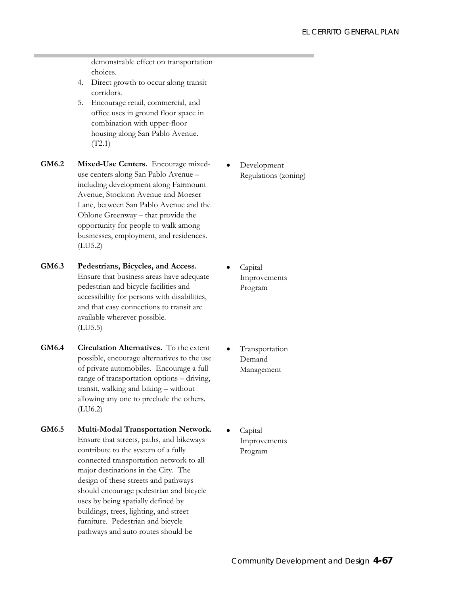demonstrable effect on transportation choices.

- 4. Direct growth to occur along transit corridors.
- 5. Encourage retail, commercial, and office uses in ground floor space in combination with upper-floor housing along San Pablo Avenue. (T2.1)
- **GM6.2 Mixed-Use Centers.** Encourage mixeduse centers along San Pablo Avenue – including development along Fairmount Avenue, Stockton Avenue and Moeser Lane, between San Pablo Avenue and the Ohlone Greenway – that provide the opportunity for people to walk among businesses, employment, and residences. (LU5.2)
- **GM6.3 Pedestrians, Bicycles, and Access.**  Ensure that business areas have adequate pedestrian and bicycle facilities and accessibility for persons with disabilities, and that easy connections to transit are available wherever possible. (LU5.5)
- **GM6.4 Circulation Alternatives.** To the extent possible, encourage alternatives to the use of private automobiles. Encourage a full range of transportation options – driving, transit, walking and biking – without allowing any one to preclude the others. (LU6.2)
- **GM6.5 Multi-Modal Transportation Network.**  Ensure that streets, paths, and bikeways contribute to the system of a fully connected transportation network to all major destinations in the City. The design of these streets and pathways should encourage pedestrian and bicycle uses by being spatially defined by buildings, trees, lighting, and street furniture. Pedestrian and bicycle pathways and auto routes should be

• Development Regulations (zoning)

- Capital Improvements Program
- **Transportation** Demand Management
- Capital Improvements Program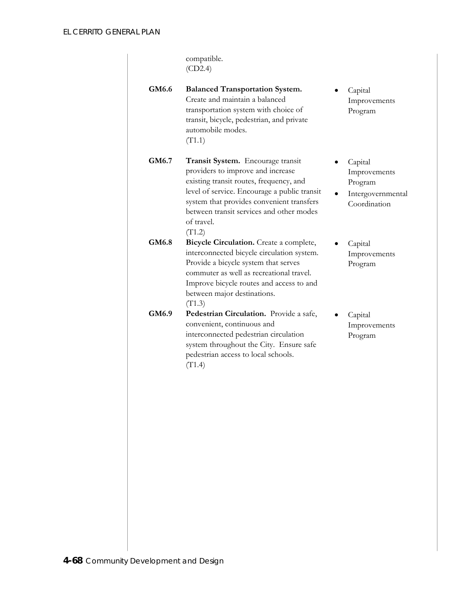|       | compatible.<br>(CD2.4)                                                                                                                                                                                                                                                             |                                                                         |
|-------|------------------------------------------------------------------------------------------------------------------------------------------------------------------------------------------------------------------------------------------------------------------------------------|-------------------------------------------------------------------------|
| GM6.6 | <b>Balanced Transportation System.</b><br>Create and maintain a balanced<br>transportation system with choice of<br>transit, bicycle, pedestrian, and private<br>automobile modes.<br>(T1.1)                                                                                       | Capital<br>Improvements<br>Program                                      |
| GM6.7 | Transit System. Encourage transit<br>providers to improve and increase<br>existing transit routes, frequency, and<br>level of service. Encourage a public transit<br>system that provides convenient transfers<br>between transit services and other modes<br>of travel.<br>(T1.2) | Capital<br>Improvements<br>Program<br>Intergovernmental<br>Coordination |
| GM6.8 | Bicycle Circulation. Create a complete,<br>interconnected bicycle circulation system.<br>Provide a bicycle system that serves<br>commuter as well as recreational travel.<br>Improve bicycle routes and access to and<br>between major destinations.<br>(T1.3)                     | Capital<br>Improvements<br>Program                                      |
| GM6.9 | Pedestrian Circulation. Provide a safe,<br>convenient, continuous and<br>interconnected pedestrian circulation<br>system throughout the City. Ensure safe<br>pedestrian access to local schools.<br>(T1.4)                                                                         | Capital<br>Improvements<br>Program                                      |
|       |                                                                                                                                                                                                                                                                                    |                                                                         |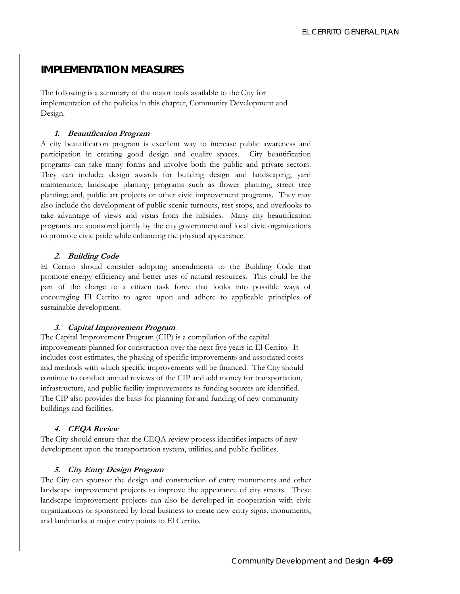# **IMPLEMENTATION MEASURES**

The following is a summary of the major tools available to the City for implementation of the policies in this chapter, Community Development and Design.

#### **1. Beautification Program**

A city beautification program is excellent way to increase public awareness and participation in creating good design and quality spaces. City beautification programs can take many forms and involve both the public and private sectors. They can include; design awards for building design and landscaping, yard maintenance; landscape planting programs such as flower planting, street tree planting; and, public art projects or other civic improvement programs. They may also include the development of public scenic turnouts, rest stops, and overlooks to take advantage of views and vistas from the hillsides. Many city beautification programs are sponsored jointly by the city government and local civic organizations to promote civic pride while enhancing the physical appearance.

### **2. Building Code**

El Cerrito should consider adopting amendments to the Building Code that promote energy efficiency and better uses of natural resources. This could be the part of the charge to a citizen task force that looks into possible ways of encouraging El Cerrito to agree upon and adhere to applicable principles of sustainable development.

### **3. Capital Improvement Program**

The Capital Improvement Program (CIP) is a compilation of the capital improvements planned for construction over the next five years in El Cerrito. It includes cost estimates, the phasing of specific improvements and associated costs and methods with which specific improvements will be financed. The City should continue to conduct annual reviews of the CIP and add money for transportation, infrastructure, and public facility improvements as funding sources are identified. The CIP also provides the basis for planning for and funding of new community buildings and facilities.

### **4. CEQA Review**

The City should ensure that the CEQA review process identifies impacts of new development upon the transportation system, utilities, and public facilities.

### **5. City Entry Design Program**

The City can sponsor the design and construction of entry monuments and other landscape improvement projects to improve the appearance of city streets. These landscape improvement projects can also be developed in cooperation with civic organizations or sponsored by local business to create new entry signs, monuments, and landmarks at major entry points to El Cerrito.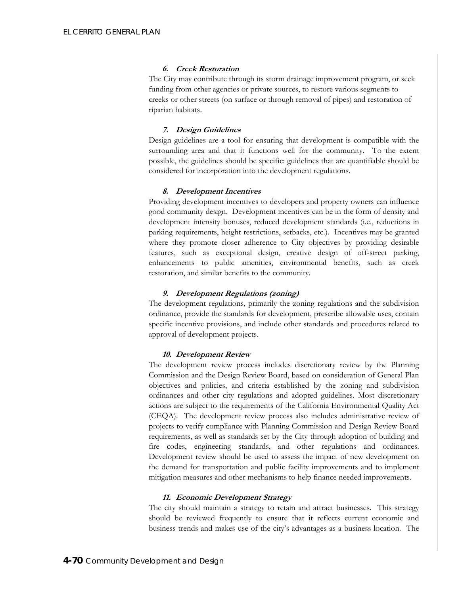#### **6. Creek Restoration**

The City may contribute through its storm drainage improvement program, or seek funding from other agencies or private sources, to restore various segments to creeks or other streets (on surface or through removal of pipes) and restoration of riparian habitats.

### **7. Design Guidelines**

Design guidelines are a tool for ensuring that development is compatible with the surrounding area and that it functions well for the community. To the extent possible, the guidelines should be specific: guidelines that are quantifiable should be considered for incorporation into the development regulations.

### **8. Development Incentives**

Providing development incentives to developers and property owners can influence good community design. Development incentives can be in the form of density and development intensity bonuses, reduced development standards (i.e., reductions in parking requirements, height restrictions, setbacks, etc.). Incentives may be granted where they promote closer adherence to City objectives by providing desirable features, such as exceptional design, creative design of off-street parking, enhancements to public amenities, environmental benefits, such as creek restoration, and similar benefits to the community.

### **9. Development Regulations (zoning)**

The development regulations, primarily the zoning regulations and the subdivision ordinance, provide the standards for development, prescribe allowable uses, contain specific incentive provisions, and include other standards and procedures related to approval of development projects.

### **10. Development Review**

The development review process includes discretionary review by the Planning Commission and the Design Review Board, based on consideration of General Plan objectives and policies, and criteria established by the zoning and subdivision ordinances and other city regulations and adopted guidelines. Most discretionary actions are subject to the requirements of the California Environmental Quality Act (CEQA). The development review process also includes administrative review of projects to verify compliance with Planning Commission and Design Review Board requirements, as well as standards set by the City through adoption of building and fire codes, engineering standards, and other regulations and ordinances. Development review should be used to assess the impact of new development on the demand for transportation and public facility improvements and to implement mitigation measures and other mechanisms to help finance needed improvements.

#### **11. Economic Development Strategy**

The city should maintain a strategy to retain and attract businesses. This strategy should be reviewed frequently to ensure that it reflects current economic and business trends and makes use of the city's advantages as a business location. The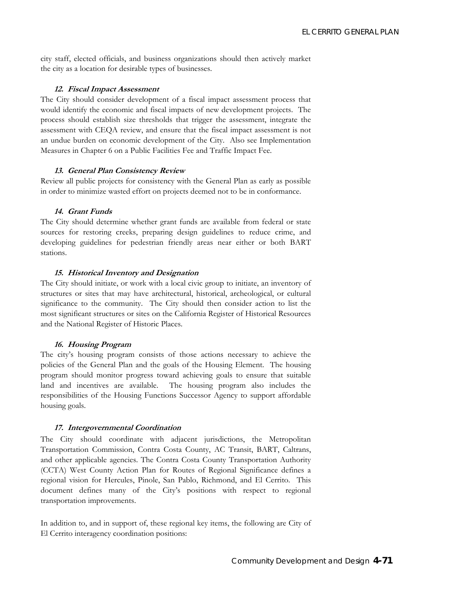city staff, elected officials, and business organizations should then actively market the city as a location for desirable types of businesses.

#### **12. Fiscal Impact Assessment**

The City should consider development of a fiscal impact assessment process that would identify the economic and fiscal impacts of new development projects. The process should establish size thresholds that trigger the assessment, integrate the assessment with CEQA review, and ensure that the fiscal impact assessment is not an undue burden on economic development of the City. Also see Implementation Measures in Chapter 6 on a Public Facilities Fee and Traffic Impact Fee.

#### **13. General Plan Consistency Review**

Review all public projects for consistency with the General Plan as early as possible in order to minimize wasted effort on projects deemed not to be in conformance.

#### **14. Grant Funds**

The City should determine whether grant funds are available from federal or state sources for restoring creeks, preparing design guidelines to reduce crime, and developing guidelines for pedestrian friendly areas near either or both BART stations.

#### **15. Historical Inventory and Designation**

The City should initiate, or work with a local civic group to initiate, an inventory of structures or sites that may have architectural, historical, archeological, or cultural significance to the community. The City should then consider action to list the most significant structures or sites on the California Register of Historical Resources and the National Register of Historic Places.

#### **16. Housing Program**

The city's housing program consists of those actions necessary to achieve the policies of the General Plan and the goals of the Housing Element. The housing program should monitor progress toward achieving goals to ensure that suitable land and incentives are available. The housing program also includes the responsibilities of the Housing Functions Successor Agency to support affordable housing goals.

#### **17. Intergovernmental Coordination**

The City should coordinate with adjacent jurisdictions, the Metropolitan Transportation Commission, Contra Costa County, AC Transit, BART, Caltrans, and other applicable agencies. The Contra Costa County Transportation Authority (CCTA) West County Action Plan for Routes of Regional Significance defines a regional vision for Hercules, Pinole, San Pablo, Richmond, and El Cerrito. This document defines many of the City's positions with respect to regional transportation improvements.

In addition to, and in support of, these regional key items, the following are City of El Cerrito interagency coordination positions: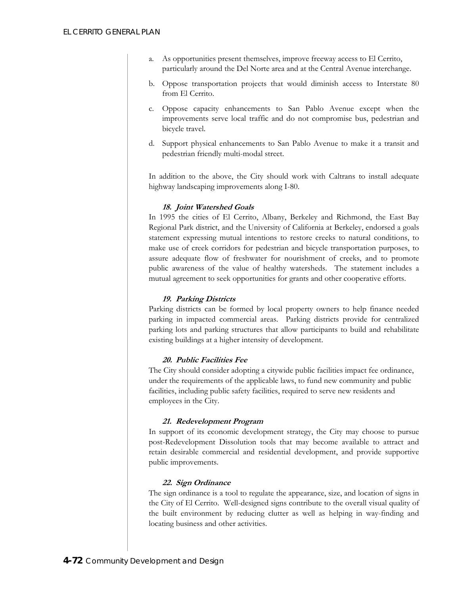- a. As opportunities present themselves, improve freeway access to El Cerrito, particularly around the Del Norte area and at the Central Avenue interchange.
- b. Oppose transportation projects that would diminish access to Interstate 80 from El Cerrito.
- c. Oppose capacity enhancements to San Pablo Avenue except when the improvements serve local traffic and do not compromise bus, pedestrian and bicycle travel.
- d. Support physical enhancements to San Pablo Avenue to make it a transit and pedestrian friendly multi-modal street.

In addition to the above, the City should work with Caltrans to install adequate highway landscaping improvements along I-80.

#### **18. Joint Watershed Goals**

In 1995 the cities of El Cerrito, Albany, Berkeley and Richmond, the East Bay Regional Park district, and the University of California at Berkeley, endorsed a goals statement expressing mutual intentions to restore creeks to natural conditions, to make use of creek corridors for pedestrian and bicycle transportation purposes, to assure adequate flow of freshwater for nourishment of creeks, and to promote public awareness of the value of healthy watersheds. The statement includes a mutual agreement to seek opportunities for grants and other cooperative efforts.

#### **19. Parking Districts**

Parking districts can be formed by local property owners to help finance needed parking in impacted commercial areas. Parking districts provide for centralized parking lots and parking structures that allow participants to build and rehabilitate existing buildings at a higher intensity of development.

#### **20. Public Facilities Fee**

The City should consider adopting a citywide public facilities impact fee ordinance, under the requirements of the applicable laws, to fund new community and public facilities, including public safety facilities, required to serve new residents and employees in the City.

#### **21. Redevelopment Program**

In support of its economic development strategy, the City may choose to pursue post-Redevelopment Dissolution tools that may become available to attract and retain desirable commercial and residential development, and provide supportive public improvements.

#### **22. Sign Ordinance**

The sign ordinance is a tool to regulate the appearance, size, and location of signs in the City of El Cerrito. Well-designed signs contribute to the overall visual quality of the built environment by reducing clutter as well as helping in way-finding and locating business and other activities.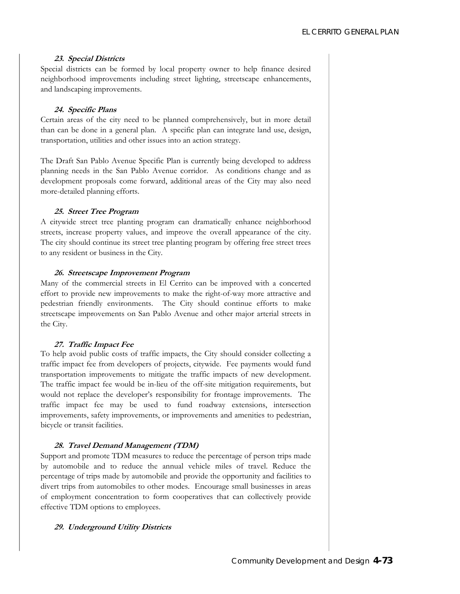#### **23. Special Districts**

Special districts can be formed by local property owner to help finance desired neighborhood improvements including street lighting, streetscape enhancements, and landscaping improvements.

#### **24. Specific Plans**

Certain areas of the city need to be planned comprehensively, but in more detail than can be done in a general plan. A specific plan can integrate land use, design, transportation, utilities and other issues into an action strategy.

The Draft San Pablo Avenue Specific Plan is currently being developed to address planning needs in the San Pablo Avenue corridor. As conditions change and as development proposals come forward, additional areas of the City may also need more-detailed planning efforts.

#### **25. Street Tree Program**

A citywide street tree planting program can dramatically enhance neighborhood streets, increase property values, and improve the overall appearance of the city. The city should continue its street tree planting program by offering free street trees to any resident or business in the City.

#### **26. Streetscape Improvement Program**

Many of the commercial streets in El Cerrito can be improved with a concerted effort to provide new improvements to make the right-of-way more attractive and pedestrian friendly environments. The City should continue efforts to make streetscape improvements on San Pablo Avenue and other major arterial streets in the City.

#### **27. Traffic Impact Fee**

To help avoid public costs of traffic impacts, the City should consider collecting a traffic impact fee from developers of projects, citywide. Fee payments would fund transportation improvements to mitigate the traffic impacts of new development. The traffic impact fee would be in-lieu of the off-site mitigation requirements, but would not replace the developer's responsibility for frontage improvements. The traffic impact fee may be used to fund roadway extensions, intersection improvements, safety improvements, or improvements and amenities to pedestrian, bicycle or transit facilities.

#### **28. Travel Demand Management (TDM)**

Support and promote TDM measures to reduce the percentage of person trips made by automobile and to reduce the annual vehicle miles of travel. Reduce the percentage of trips made by automobile and provide the opportunity and facilities to divert trips from automobiles to other modes. Encourage small businesses in areas of employment concentration to form cooperatives that can collectively provide effective TDM options to employees.

#### **29. Underground Utility Districts**